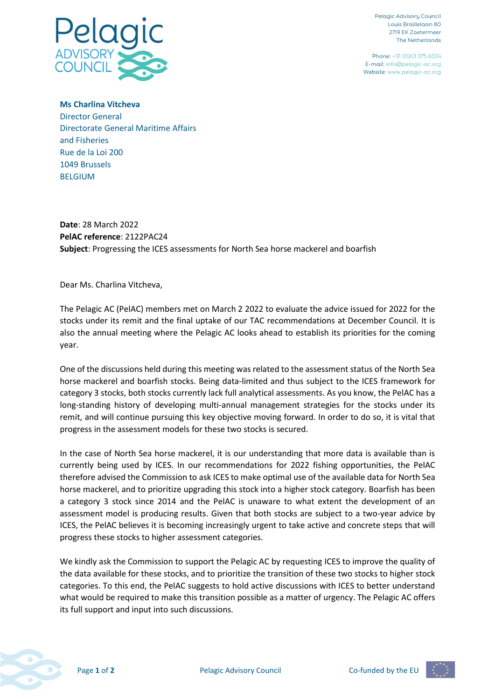

Pelagic Advisoru Council Louis Braillelaan 80 2719 EK Zoetermeer The Netherlands

Phone: +31 (0)63 375 6324 E-mail: info@pelagic-ac.org Website: www.pelagic-ac.org

**Ms Charlina Vitcheva** Director General Directorate General Maritime Affairs and Fisheries Rue de la Loi 200 1049 Brussels BELGIUM

**Date**: 28 March 2022 **PelAC reference**: 2122PAC24 **Subject**: Progressing the ICES assessments for North Sea horse mackerel and boarfish

Dear Ms. Charlina Vitcheva,

The Pelagic AC (PelAC) members met on March 2 2022 to evaluate the advice issued for 2022 for the stocks under its remit and the final uptake of our TAC recommendations at December Council. It is also the annual meeting where the Pelagic AC looks ahead to establish its priorities for the coming year.

One of the discussions held during this meeting was related to the assessment status of the North Sea horse mackerel and boarfish stocks. Being data-limited and thus subject to the ICES framework for category 3 stocks, both stocks currently lack full analytical assessments. As you know, the PelAC has a long-standing history of developing multi-annual management strategies for the stocks under its remit, and will continue pursuing this key objective moving forward. In order to do so, it is vital that progress in the assessment models for these two stocks is secured.

In the case of North Sea horse mackerel, it is our understanding that more data is available than is currently being used by ICES. In our recommendations for 2022 fishing opportunities, the PelAC therefore advised the Commission to ask ICES to make optimal use of the available data for North Sea horse mackerel, and to prioritize upgrading this stock into a higher stock category. Boarfish has been a category 3 stock since 2014 and the PelAC is unaware to what extent the development of an assessment model is producing results. Given that both stocks are subject to a two-year advice by ICES, the PelAC believes it is becoming increasingly urgent to take active and concrete steps that will progress these stocks to higher assessment categories.

We kindly ask the Commission to support the Pelagic AC by requesting ICES to improve the quality of the data available for these stocks, and to prioritize the transition of these two stocks to higher stock categories. To this end, the PelAC suggests to hold active discussions with ICES to better understand what would be required to make this transition possible as a matter of urgency. The Pelagic AC offers its full support and input into such discussions.